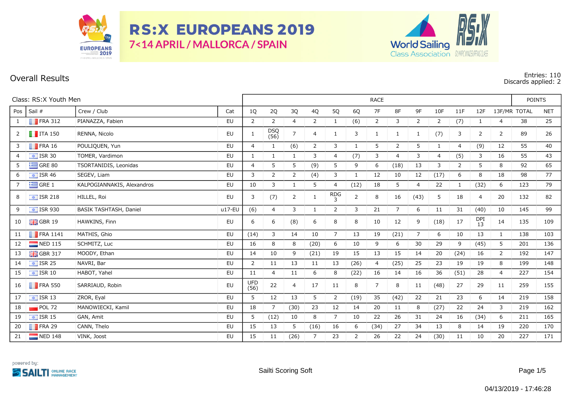

**RS:X EUROPEANS 2019** 7<14 APRIL / MALLORCA / SPAIN



## **Overall Results Entries: 110 Discards applied: 2**

| Class: RS:X Youth Men |                              |                            |          |                    | <b>RACE</b>        |                |                |                |                |                |                |                |                |                |                  |    |              |            |
|-----------------------|------------------------------|----------------------------|----------|--------------------|--------------------|----------------|----------------|----------------|----------------|----------------|----------------|----------------|----------------|----------------|------------------|----|--------------|------------|
| Pos                   | Sail #                       | Crew / Club                | Cat      | 1Q                 | 2Q                 | 3Q             | 4Q             | 5Q             | 6Q             | 7F             | 8F             | 9F             | 10F            | 11F            | 12F              |    | 13F/MR TOTAL | <b>NET</b> |
| -1                    | $\blacksquare$ FRA 312       | PIANAZZA, Fabien           | EU       | $\overline{2}$     | 2                  | $\overline{4}$ | 2              | $\mathbf{1}$   | (6)            | 2              | 3              | $\overline{2}$ | 2              | (7)            | 1                | 4  | 38           | 25         |
| 2                     | $\blacksquare$ ITA 150       | RENNA, Nicolo              | EU       | 1                  | <b>DSQ</b><br>(56) | $\overline{7}$ | $\overline{4}$ | 1              | 3              | 1              | 1              | 1              | (7)            | 3              | 2                | 2  | 89           | 26         |
| 3                     | $\blacksquare$ FRA 16        | POULIQUEN, Yun             | EU       | $\overline{4}$     | 1                  | (6)            | 2              | 3              | $\mathbf{1}$   | 5              | 2              | 5              | $\mathbf{1}$   | $\overline{4}$ | (9)              | 12 | 55           | 40         |
| $\overline{4}$        | $\bullet$ ISR 30             | TOMER, Vardimon            | EU       | 1                  | 1                  | 1              | 3              | 4              | (7)            | 3              | $\overline{4}$ | 3              | $\overline{4}$ | (5)            | 3                | 16 | 55           | 43         |
| 5                     | $\equiv$ GRE 80              | TSORTANIDIS, Leonidas      | EU       | $\overline{4}$     | 5                  | 5              | (9)            | 5              | 9              | 6              | (18)           | 13             | 3              | 2              | 5                | 8  | 92           | 65         |
| 6                     | $\approx$ ISR 46             | SEGEV, Liam                | EU       | 3                  | 2                  | $\overline{2}$ | (4)            | 3              | 1              | 12             | 10             | 12             | (17)           | 6              | 8                | 18 | 98           | 77         |
| 7                     | $\equiv$ GRE 1               | KALPOGIANNAKIS, Alexandros | EU       | 10                 | 3                  | 1              | 5              | 4              | (12)           | 18             | 5              | $\overline{4}$ | 22             | 1              | (32)             | 6  | 123          | 79         |
| 8                     | $\frac{1}{2}$ ISR 218        | HILLEL, Roi                | EU       | 3                  | (7)                | $\overline{2}$ | 1              | $RDG_3$        | $\overline{2}$ | 8              | 16             | (43)           | 5              | 18             | 4                | 20 | 132          | 82         |
| 9                     | $\overline{\bullet}$ ISR 930 | BASIK TASHTASH, Daniel     | $u17-EU$ | (6)                | 4                  | 3              | $\mathbf{1}$   | $\overline{2}$ | 3              | 21             | $\overline{7}$ | 6              | 11             | 31             | (40)             | 10 | 145          | 99         |
| 10                    | $\frac{1}{2}$ GBR 19         | HAWKINS, Finn              | EU       | 6                  | 6                  | (8)            | 6              | 8              | 8              | 10             | 12             | 9              | (18)           | 17             | <b>DPI</b><br>13 | 14 | 135          | 109        |
| 11                    | $\blacksquare$ FRA 1141      | MATHIS, Ghio               | EU       | (14)               | 3                  | 14             | 10             | $\overline{7}$ | 13             | 19             | (21)           | $\overline{7}$ | 6              | 10             | 13               | 1  | 138          | 103        |
| 12                    | $\blacksquare$ NED 115       | SCHMITZ, Luc               | EU       | 16                 | 8                  | 8              | (20)           | 6              | 10             | 9              | 6              | 30             | 29             | 9              | (45)             | 5  | 201          | 136        |
| 13                    | $\frac{1}{26}$ GBR 317       | MOODY, Ethan               | EU       | 14                 | 10                 | 9              | (21)           | 19             | 15             | 13             | 15             | 14             | 20             | (24)           | 16               | 2  | 192          | 147        |
| 14                    | $\boxed{\div}$ ISR 25        | NAVRI, Bar                 | EU       | $\mathbf{2}$       | 11                 | 13             | 11             | 13             | (26)           | $\overline{4}$ | (25)           | 25             | 23             | 19             | 19               | 8  | 199          | 148        |
| 15                    | $\sqrt{15}$ ISR 10           | HABOT, Yahel               | EU       | 11                 | 4                  | 11             | 6              | 8              | (22)           | 16             | 14             | 16             | 36             | (51)           | 28               | 4  | 227          | 154        |
| 16                    | $\blacksquare$ FRA 550       | SARRIAUD, Robin            | EU       | <b>UFD</b><br>(56) | 22                 | $\overline{4}$ | 17             | 11             | 8              | $\overline{7}$ | 8              | 11             | (48)           | 27             | 29               | 11 | 259          | 155        |
| 17                    | $\sqrt{1}$ ISR 13            | ZROR, Eyal                 | EU       | 5                  | 12                 | 13             | 5              | $\overline{2}$ | (19)           | 35             | (42)           | 22             | 21             | 23             | 6                | 14 | 219          | 158        |
| 18                    | $POL$ 72                     | MANOWIECKI, Kamil          | EU       | 18                 | 7                  | (30)           | 23             | 12             | 14             | 20             | 11             | 8              | (27)           | 22             | 24               | 3  | 219          | 162        |
| 19                    | $\boxed{\div}$ ISR 15        | GAN, Amit                  | EU       | 5                  | (12)               | 10             | 8              | $\overline{7}$ | 10             | 22             | 26             | 31             | 24             | 16             | (34)             | 6  | 211          | 165        |
| 20                    | $\blacksquare$ FRA 29        | CANN, Thelo                | EU       | 15                 | 13                 | 5              | (16)           | 16             | 6              | (34)           | 27             | 34             | 13             | 8              | 14               | 19 | 220          | 170        |
| 21                    | NED 148                      | VINK, Joost                | EU       | 15                 | 11                 | (26)           | 7              | 23             | $\overline{2}$ | 26             | 22             | 24             | (30)           | 11             | 10               | 20 | 227          | 171        |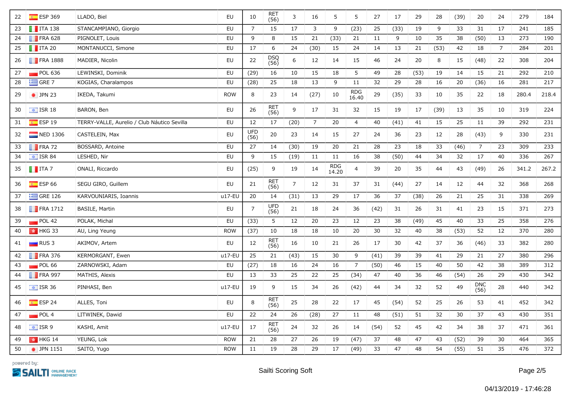| 22 | $E$ ESP 369             | LLADO, Biel                                 | EU         | 10                 | RET<br>(56)        | 3              | 16              | 5            | 5              | 27   | 17   | 29   | 28   | (39) | 20                 | 24             | 279   | 184   |
|----|-------------------------|---------------------------------------------|------------|--------------------|--------------------|----------------|-----------------|--------------|----------------|------|------|------|------|------|--------------------|----------------|-------|-------|
| 23 | $\blacksquare$ ITA 138  | STANCAMPIANO, Giorgio                       | EU         | $\overline{7}$     | 15                 | 17             | 3               | 9            | (23)           | 25   | (33) | 19   | 9    | 33   | 31                 | 17             | 241   | 185   |
| 24 | $\blacksquare$ FRA 628  | PIGNOLET, Louis                             | EU         | 9                  | 8                  | 15             | 21              | (33)         | 21             | 11   | 9    | 10   | 35   | 38   | (50)               | 13             | 273   | 190   |
| 25 | $\blacksquare$ ITA 20   | MONTANUCCI, Simone                          | <b>EU</b>  | 17                 | 6                  | 24             | (30)            | 15           | 24             | 14   | 13   | 21   | (53) | 42   | 18                 | $\overline{7}$ | 284   | 201   |
| 26 | $\blacksquare$ FRA 1888 | MADIER, Nicolin                             | EU         | 22                 | DSQ<br>(56)        | 6              | 12              | 14           | 15             | 46   | 24   | 20   | 8    | 15   | (48)               | 22             | 308   | 204   |
| 27 | POL 636                 | LEWINSKI, Dominik                           | EU         | (29)               | 16                 | 10             | 15              | 18           | 5              | 49   | 28   | (53) | 19   | 14   | 15                 | 21             | 292   | 210   |
| 28 | $\equiv$ GRE 7          | KOGIAS, Charalampos                         | EU         | (28)               | 25                 | $18\,$         | 13              | $9\,$        | 11             | 32   | 29   | 28   | 16   | 20   | (36)               | 16             | 281   | 217   |
| 29 | $\bullet$ JPN 23        | IKEDA, Takumi                               | <b>ROW</b> | 8                  | 23                 | 14             | (27)            | 10           | RDG<br>16.40   | 29   | (35) | 33   | 10   | 35   | 22                 | 18             | 280.4 | 218.4 |
| 30 | $\boxed{\div}$ ISR 18   | BARON, Ben                                  | EU         | 26                 | RET<br>(56)        | 9              | 17              | 31           | 32             | 15   | 19   | 17   | (39) | 13   | 35                 | 10             | 319   | 224   |
| 31 | ESP 19                  | TERRY-VALLE, Aurelio / Club Náutico Sevilla | <b>EU</b>  | 12                 | 17                 | (20)           | $7\overline{ }$ | 20           | $\overline{4}$ | 40   | (41) | 41   | 15   | 25   | ${\bf 11}$         | 39             | 292   | 231   |
| 32 | NED 1306                | CASTELEIN, Max                              | EU         | <b>UFD</b><br>(56) | 20                 | 23             | 14              | 15           | 27             | 24   | 36   | 23   | 12   | 28   | (43)               | 9              | 330   | 231   |
| 33 | $\blacksquare$ FRA 72   | BOSSARD, Antoine                            | EU         | 27                 | 14                 | (30)           | 19              | 20           | 21             | 28   | 23   | 18   | 33   | (46) | $\overline{7}$     | 23             | 309   | 233   |
| 34 | $\boxed{\div}$ ISR 84   | LESHED, Nir                                 | <b>EU</b>  | 9                  | 15                 | (19)           | 11              | 11           | 16             | 38   | (50) | 44   | 34   | 32   | 17                 | 40             | 336   | 267   |
| 35 | $\blacksquare$ ITA 7    | ONALI, Riccardo                             | EU         | (25)               | 9                  | 19             | 14              | RDG<br>14.20 | $\overline{4}$ | 39   | 20   | 35   | 44   | 43   | (49)               | 26             | 341.2 | 267.2 |
| 36 | $E$ ESP 66              | SEGU GIRO, Guillem                          | EU         | 21                 | RET<br>(56)        | $\overline{7}$ | 12              | 31           | 37             | 31   | (44) | 27   | 14   | 12   | 44                 | 32             | 368   | 268   |
| 37 | $\equiv$ GRE 126        | KARVOUNIARIS, Ioannis                       | $u17-EU$   | 20                 | 14                 | (31)           | 13              | 29           | 17             | 36   | 37   | (38) | 26   | 21   | 25                 | 31             | 338   | 269   |
| 38 | $\blacksquare$ FRA 1712 | BASILE, Martin                              | EU         | $\overline{7}$     | <b>UFD</b><br>(56) | 21             | 18              | 24           | 36             | (42) | 31   | 26   | 31   | 41   | 23                 | 15             | 371   | 273   |
| 39 | POL 42                  | POLAK, Michal                               | <b>EU</b>  | (33)               | 5                  | 12             | 20              | 23           | 12             | 23   | 38   | (49) | 45   | 40   | 33                 | 25             | 358   | 276   |
| 40 | $\frac{1}{2}$ HKG 33    | AU, Ling Yeung                              | <b>ROW</b> | (37)               | 10                 | 18             | 18              | 10           | 20             | 30   | 32   | 40   | 38   | (53) | 52                 | 12             | 370   | 280   |
| 41 | $\Box$ RUS 3            | AKIMOV, Artem                               | EU         | 12                 | <b>RET</b><br>(56) | 16             | 10              | 21           | 26             | 17   | 30   | 42   | 37   | 36   | (46)               | 33             | 382   | 280   |
| 42 | $\blacksquare$ FRA 376  | KERMORGANT, Ewen                            | $u17-EU$   | 25                 | 21                 | (43)           | 15              | 30           | 9              | (41) | 39   | 39   | 41   | 29   | 21                 | 27             | 380   | 296   |
| 43 | POL66                   | ZARNOWSKI, Adam                             | <b>EU</b>  | (27)               | 18                 | 16             | 24              | 16           | $\overline{7}$ | (50) | 46   | 15   | 40   | 50   | 42                 | 38             | 389   | 312   |
| 44 | $\blacksquare$ FRA 997  | MATHIS, Alexis                              | <b>EU</b>  | 13                 | 33                 | 25             | 22              | 25           | (34)           | 47   | 40   | 36   | 46   | (54) | 26                 | 29             | 430   | 342   |
| 45 | $\frac{1}{2}$ ISR 36    | PINHASI, Ben                                | u17-EU     | 19                 | 9                  | 15             | 34              | 26           | (42)           | 44   | 34   | 32   | 52   | 49   | <b>DNC</b><br>(56) | 28             | 440   | 342   |
| 46 | $E$ ESP 24              | ALLES, Toni                                 | EU         | 8                  | RET<br>(56)        | 25             | 28              | 22           | 17             | 45   | (54) | 52   | 25   | 26   | 53                 | 41             | 452   | 342   |
| 47 | POL4                    | LITWINEK, Dawid                             | EU         | 22                 | 24                 | 26             | (28)            | 27           | 11             | 48   | (51) | 51   | 32   | 30   | 37                 | 43             | 430   | 351   |
| 48 | $\boxed{\div}$ ISR 9    | KASHI, Amit                                 | u17-EU     | 17                 | <b>RET</b><br>(56) | 24             | 32              | 26           | 14             | (54) | 52   | 45   | 42   | 34   | 38                 | 37             | 471   | 361   |
| 49 | $\frac{1}{2}$ HKG 14    | YEUNG, Lok                                  | <b>ROW</b> | 21                 | 28                 | 27             | 26              | 19           | (47)           | 37   | 48   | 47   | 43   | (52) | 39                 | 30             | 464   | 365   |
| 50 | • JPN 1151              | SAITO, Yugo                                 | <b>ROW</b> | 11                 | 19                 | 28             | 29              | 17           | (49)           | 33   | 47   | 48   | 54   | (55) | 51                 | 35             | 476   | 372   |

powered by: **SAILTI DALINE RACE**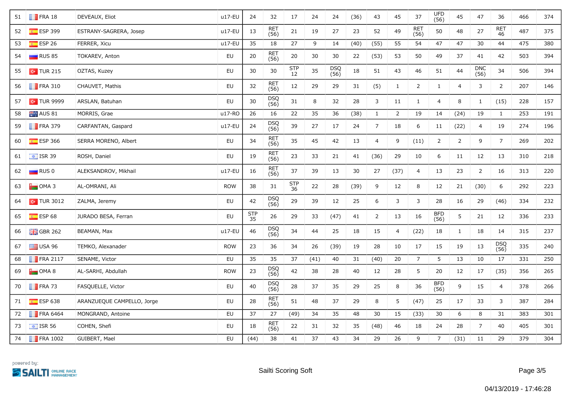| 51 | $\blacksquare$ FRA 18   | DEVEAUX, Eliot             | $u17-EU$   | 24        | 32                 | 17                    | 24   | 24          | (36) | 43             | 45             | 37                 | UFD<br>(56)        | 45             | 47             | 36               | 466 | 374 |
|----|-------------------------|----------------------------|------------|-----------|--------------------|-----------------------|------|-------------|------|----------------|----------------|--------------------|--------------------|----------------|----------------|------------------|-----|-----|
| 52 | $E$ ESP 399             | ESTRANY-SAGRERA, Josep     | u17-EU     | 13        | <b>RET</b><br>(56) | 21                    | 19   | 27          | 23   | 52             | 49             | <b>RET</b><br>(56) | 50                 | 48             | 27             | <b>RET</b><br>46 | 487 | 375 |
| 53 | ESP <sub>26</sub>       | FERRER, Xicu               | $u17-EU$   | 35        | 18                 | 27                    | 9    | 14          | (40) | (55)           | 55             | 54                 | 47                 | 47             | 30             | 44               | 475 | 380 |
| 54 | $\Box$ RUS 85           | TOKAREV, Anton             | EU         | 20        | RET<br>(56)        | $20\,$                | 30   | 30          | 22   | (53)           | 53             | 50                 | 49                 | 37             | 41             | 42               | 503 | 394 |
| 55 | $\sim$ TUR 215          | OZTAS, Kuzey               | EU         | 30        | $30\,$             | $rac{\text{STP}}{12}$ | 35   | DSQ<br>(56) | 18   | 51             | 43             | 46                 | 51                 | 44             | DNC<br>(56)    | 34               | 506 | 394 |
| 56 | $\blacksquare$ FRA 310  | CHAUVET, Mathis            | EU         | 32        | RET<br>(56)        | $12\,$                | 29   | 29          | 31   | (5)            | $\mathbf{1}$   | $\overline{2}$     | $\mathbf{1}$       | 4              | 3              | $\overline{2}$   | 207 | 146 |
| 57 | $\sim$ TUR 9999         | ARSLAN, Batuhan            | EU         | 30        | DSQ<br>(56)        | $31\,$                | 8    | 32          | 28   | 3              | 11             | $\mathbf{1}$       | $\overline{4}$     | 8              | $\mathbf{1}$   | (15)             | 228 | 157 |
| 58 | AUS 81                  | MORRIS, Grae               | u17-RO     | 26        | 16                 | 22                    | 35   | 36          | (38) | $\mathbf{1}$   | $\overline{2}$ | 19                 | 14                 | (24)           | 19             | $\mathbf{1}$     | 253 | 191 |
| 59 | $\blacksquare$ FRA 379  | CARFANTAN, Gaspard         | u17-EU     | 24        | <b>DSQ</b><br>(56) | 39                    | 27   | 17          | 24   | $\overline{7}$ | 18             | 6                  | 11                 | (22)           | $\overline{4}$ | 19               | 274 | 196 |
| 60 | $E$ ESP 366             | SERRA MORENO, Albert       | EU         | 34        | RET<br>(56)        | 35                    | 45   | 42          | 13   | 4              | 9              | (11)               | $\overline{2}$     | $\overline{2}$ | 9              | $\overline{7}$   | 269 | 202 |
| 61 | $\frac{1}{2}$ ISR 39    | ROSH, Daniel               | EU         | 19        | RET<br>(56)        | 23                    | 33   | 21          | 41   | (36)           | 29             | 10                 | 6                  | 11             | 12             | 13               | 310 | 218 |
| 62 | $\Box$ RUS 0            | ALEKSANDROV, Mikhail       | u17-EU     | 16        | <b>RET</b><br>(56) | 37                    | 39   | 13          | 30   | 27             | (37)           | $\overline{4}$     | 13                 | 23             | $\overline{2}$ | 16               | 313 | 220 |
| 63 | $\Box$ OMA 3            | AL-OMRANI, Ali             | <b>ROW</b> | 38        | 31                 | STP<br>36             | 22   | 28          | (39) | 9              | 12             | 8                  | 12                 | 21             | (30)           | 6                | 292 | 223 |
| 64 | $\sim$ TUR 3012         | ZALMA, Jeremy              | EU         | 42        | DSQ<br>(56)        | 29                    | 39   | 12          | 25   | 6              | 3              | 3                  | 28                 | 16             | 29             | (46)             | 334 | 232 |
| 65 | $E$ ESP 68              | JURADO BESA, Ferran        | EU         | STP<br>35 | 26                 | 29                    | 33   | (47)        | 41   | $\overline{2}$ | 13             | 16                 | <b>BFD</b><br>(56) | 5              | 21             | 12               | 336 | 233 |
| 66 | $\frac{1}{26}$ GBR 262  | BEAMAN, Max                | u17-EU     | 46        | DSQ<br>(56)        | 34                    | 44   | 25          | 18   | 15             | $\overline{4}$ | (22)               | 18                 | $\mathbf{1}$   | 18             | 14               | 315 | 237 |
| 67 | $\equiv$ USA 96         | TEMKO, Alexanader          | <b>ROW</b> | 23        | 36                 | 34                    | 26   | (39)        | 19   | 28             | 10             | 17                 | 15                 | 19             | 13             | DSQ<br>(56)      | 335 | 240 |
| 68 | $\blacksquare$ FRA 2117 | SENAME, Victor             | EU         | 35        | 35                 | 37                    | (41) | 40          | 31   | (40)           | 20             | $\overline{7}$     | 5                  | 13             | 10             | 17               | 331 | 250 |
| 69 | $\Box$ OMA 8            | AL-SARHI, Abdullah         | <b>ROW</b> | 23        | DSQ<br>(56)        | 42                    | 38   | 28          | 40   | 12             | 28             | 5                  | 20                 | 12             | 17             | (35)             | 356 | 265 |
| 70 | $\blacksquare$ FRA 73   | FASQUELLE, Victor          | EU         | 40        | DSQ<br>(56)        | 28                    | 37   | 35          | 29   | 25             | 8              | 36                 | BFD<br>(56)        | 9              | 15             | $\overline{4}$   | 378 | 266 |
| 71 | $E = ESP 638$           | ARANZUEQUE CAMPELLO, Jorge | EU         | 28        | <b>RET</b><br>(56) | 51                    | 48   | 37          | 29   | 8              | 5              | (47)               | 25                 | 17             | 33             | 3                | 387 | 284 |
| 72 | $\blacksquare$ FRA 6464 | MONGRAND, Antoine          | EU         | 37        | 27                 | (49)                  | 34   | 35          | 48   | 30             | 15             | (33)               | 30                 | 6              | 8              | 31               | 383 | 301 |
| 73 | $\frac{1}{2}$ ISR 56    | COHEN, Shefi               | EU         | 18        | RET<br>(56)        | 22                    | 31   | 32          | 35   | (48)           | 46             | 18                 | 24                 | 28             | $\overline{7}$ | 40               | 405 | 301 |
| 74 | <b>FRA 1002</b>         | GUIBERT, Mael              | <b>EU</b>  | (44)      | 38                 | 41                    | 37   | 43          | 34   | 29             | 26             | 9                  | $\overline{7}$     | (31)           | 11             | 29               | 379 | 304 |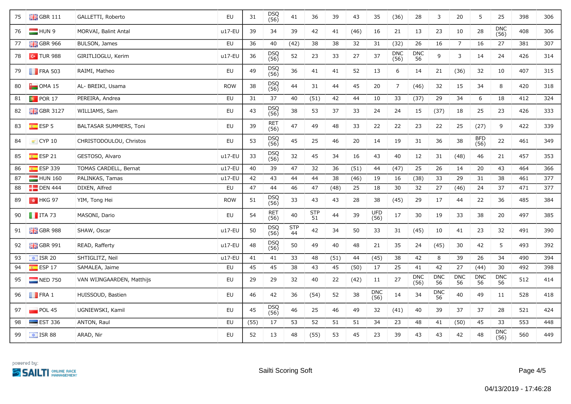| 75 | $\frac{10}{200}$ GBR 111 | GALLETTI, Roberto         | EU         | 31   | DSQ<br>(56) | 41        | 36               | 39   | 43   | 35                 | (36)               | 28                 | 3                | 20               | 5                | 25                 | 398 | 306 |
|----|--------------------------|---------------------------|------------|------|-------------|-----------|------------------|------|------|--------------------|--------------------|--------------------|------------------|------------------|------------------|--------------------|-----|-----|
| 76 | HUN 9                    | MORVAI, Balint Antal      | $u17-EU$   | 39   | 34          | 39        | 42               | 41   | (46) | 16                 | 21                 | 13                 | 23               | 10               | 28               | <b>DNC</b><br>(56) | 408 | 306 |
| 77 | $\frac{1}{26}$ GBR 966   | BULSON, James             | EU         | 36   | 40          | (42)      | 38               | 38   | 32   | 31                 | (32)               | 26                 | 16               | $\overline{7}$   | 16               | 27                 | 381 | 307 |
| 78 | $\sim$ TUR 988           | GIRITLIOGLU, Kerim        | $u17-EU$   | 36   | DSQ<br>(56) | 52        | 23               | 33   | 27   | 37                 | <b>DNC</b><br>(56) | DNC<br>56          | 9                | 3                | 14               | 24                 | 426 | 314 |
| 79 | $\blacksquare$ FRA 503   | RAIMI, Matheo             | EU         | 49   | DSQ<br>(56) | 36        | 41               | 41   | 52   | 13                 | 6                  | 14                 | 21               | (36)             | 32               | 10                 | 407 | 315 |
| 80 | $\Box$ OMA 15            | AL- BREIKI, Usama         | <b>ROW</b> | 38   | DSQ<br>(56) | 44        | 31               | 44   | 45   | 20                 | $\overline{7}$     | (46)               | 32               | 15               | 34               | 8                  | 420 | 318 |
| 81 | <b>POR 17</b>            | PEREIRA, Andrea           | <b>EU</b>  | 31   | 37          | 40        | (51)             | 42   | 44   | 10                 | 33                 | (37)               | 29               | 34               | 6                | 18                 | 412 | 324 |
| 82 | $-$ GBR 3127             | WILLIAMS, Sam             | EU         | 43   | DSQ<br>(56) | 38        | 53               | 37   | 33   | 24                 | 24                 | 15                 | (37)             | 18               | 25               | 23                 | 426 | 333 |
| 83 | $E$ ESP 5                | BALTASAR SUMMERS, Toni    | EU         | 39   | RET<br>(56) | 47        | 49               | 48   | 33   | 22                 | 22                 | 23                 | 22               | 25               | (27)             | 9                  | 422 | 339 |
| 84 | $\bullet$ CYP 10         | CHRISTODOULOU, Christos   | EU         | 53   | DSQ<br>(56) | 45        | 25               | 46   | 20   | 14                 | 19                 | 31                 | 36               | 38               | BFD<br>(56)      | 22                 | 461 | 349 |
| 85 | $E = ESP 21$             | GESTOSO, Alvaro           | $u17-EU$   | 33   | DSQ<br>(56) | 32        | 45               | 34   | 16   | 43                 | 40                 | 12                 | 31               | (48)             | 46               | 21                 | 457 | 353 |
| 86 | $E$ ESP 339              | TOMAS CARDELL, Bernat     | $u17-EU$   | 40   | 39          | 47        | 32               | 36   | (51) | 44                 | (47)               | 25                 | 26               | 14               | 20               | 43                 | 464 | 366 |
| 87 | HUN 160                  | PALINKAS, Tamas           | $u17-EU$   | 42   | 43          | 44        | 44               | 38   | (46) | 19                 | 16                 | (38)               | 33               | 29               | 31               | 38                 | 461 | 377 |
| 88 | $\Box$ DEN 444           | DIXEN, Alfred             | EU         | 47   | 44          | 46        | 47               | (48) | 25   | 18                 | 30                 | 32                 | 27               | (46)             | 24               | 37                 | 471 | 377 |
| 89 | $\frac{1}{2}$ HKG 97     | YIM, Tong Hei             | <b>ROW</b> | 51   | DSQ<br>(56) | 33        | 43               | 43   | 28   | 38                 | (45)               | 29                 | 17               | 44               | 22               | 36                 | 485 | 384 |
| 90 | $\blacksquare$ ITA 73    | MASONI, Dario             | EU         | 54   | RET<br>(56) | 40        | <b>STP</b><br>51 | 44   | 39   | UFD<br>(56)        | 17                 | 30                 | 19               | 33               | 38               | 20                 | 497 | 385 |
| 91 | $\frac{1}{26}$ GBR 988   | SHAW, Oscar               | u17-EU     | 50   | DSQ<br>(56) | STP<br>44 | 42               | 34   | 50   | 33                 | 31                 | (45)               | 10               | 41               | 23               | 32                 | 491 | 390 |
| 92 | $\frac{1}{26}$ GBR 991   | READ, Rafferty            | u17-EU     | 48   | DSQ<br>(56) | 50        | 49               | 40   | 48   | 21                 | 35                 | 24                 | (45)             | 30               | 42               | 5                  | 493 | 392 |
| 93 | $\sqrt{1}$ ISR 20        | SHTIGLITZ, Neil           | $u17-EU$   | 41   | 41          | 33        | 48               | (51) | 44   | (45)               | 38                 | 42                 | 8                | 39               | 26               | 34                 | 490 | 394 |
| 94 | $E = ESP 17$             | SAMALEA, Jaime            | EU         | 45   | 45          | 38        | 43               | 45   | (50) | 17                 | 25                 | 41                 | 42               | 27               | (44)             | 30                 | 492 | 398 |
| 95 | $\blacksquare$ NED 750   | VAN WIJNGAARDEN, Matthijs | EU         | 29   | 29          | 32        | 40               | 22   | (42) | 11                 | 27                 | <b>DNC</b><br>(56) | <b>DNC</b><br>56 | <b>DNC</b><br>56 | <b>DNC</b><br>56 | <b>DNC</b><br>56   | 512 | 414 |
| 96 | $\blacksquare$ FRA 1     | HUISSOUD, Bastien         | EU         | 46   | 42          | 36        | (54)             | 52   | 38   | <b>DNC</b><br>(56) | 14                 | 34                 | <b>DNC</b><br>56 | 40               | 49               | 11                 | 528 | 418 |
| 97 | POL 45                   | UGNIEWSKI, Kamil          | EU         | 45   | DSQ<br>(56) | 46        | 25               | 46   | 49   | 32                 | (41)               | 40                 | 39               | 37               | 37               | 28                 | 521 | 424 |
| 98 | $\equiv$ EST 336         | ANTON, Raul               | EU         | (55) | 17          | 53        | 52               | 51   | 51   | 34                 | 23                 | 48                 | 41               | (50)             | 45               | 33                 | 553 | 448 |
| 99 | $\equiv$ ISR 88          | ARAD, Nir                 | EU         | 52   | 13          | 48        | (55)             | 53   | 45   | 23                 | 39                 | 43                 | 43               | 42               | 48               | DNC<br>(56)        | 560 | 449 |